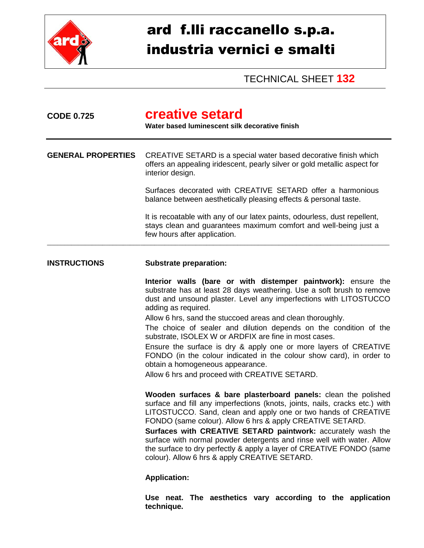

## ard f.lli raccanello s.p.a. industria vernici e smalti

TECHNICAL SHEET **132**

| <b>CODE 0.725</b>         | creative setard<br>Water based luminescent silk decorative finish                                                                                                                                                                                                                                                                                                                                                                                                                                                                                                                                                                                                                                                                                                                                                                                                                                                                                                                                                                                                                                                                                                                                                                                                          |  |
|---------------------------|----------------------------------------------------------------------------------------------------------------------------------------------------------------------------------------------------------------------------------------------------------------------------------------------------------------------------------------------------------------------------------------------------------------------------------------------------------------------------------------------------------------------------------------------------------------------------------------------------------------------------------------------------------------------------------------------------------------------------------------------------------------------------------------------------------------------------------------------------------------------------------------------------------------------------------------------------------------------------------------------------------------------------------------------------------------------------------------------------------------------------------------------------------------------------------------------------------------------------------------------------------------------------|--|
| <b>GENERAL PROPERTIES</b> | CREATIVE SETARD is a special water based decorative finish which<br>offers an appealing iridescent, pearly silver or gold metallic aspect for<br>interior design.                                                                                                                                                                                                                                                                                                                                                                                                                                                                                                                                                                                                                                                                                                                                                                                                                                                                                                                                                                                                                                                                                                          |  |
|                           | Surfaces decorated with CREATIVE SETARD offer a harmonious<br>balance between aesthetically pleasing effects & personal taste.                                                                                                                                                                                                                                                                                                                                                                                                                                                                                                                                                                                                                                                                                                                                                                                                                                                                                                                                                                                                                                                                                                                                             |  |
|                           | It is recoatable with any of our latex paints, odourless, dust repellent,<br>stays clean and guarantees maximum comfort and well-being just a<br>few hours after application.                                                                                                                                                                                                                                                                                                                                                                                                                                                                                                                                                                                                                                                                                                                                                                                                                                                                                                                                                                                                                                                                                              |  |
| <b>INSTRUCTIONS</b>       | <b>Substrate preparation:</b><br>Interior walls (bare or with distemper paintwork): ensure the<br>substrate has at least 28 days weathering. Use a soft brush to remove<br>dust and unsound plaster. Level any imperfections with LITOSTUCCO<br>adding as required.<br>Allow 6 hrs, sand the stuccoed areas and clean thoroughly.<br>The choice of sealer and dilution depends on the condition of the<br>substrate, ISOLEX W or ARDFIX are fine in most cases.<br>Ensure the surface is dry & apply one or more layers of CREATIVE<br>FONDO (in the colour indicated in the colour show card), in order to<br>obtain a homogeneous appearance.<br>Allow 6 hrs and proceed with CREATIVE SETARD.<br>Wooden surfaces & bare plasterboard panels: clean the polished<br>surface and fill any imperfections (knots, joints, nails, cracks etc.) with<br>LITOSTUCCO. Sand, clean and apply one or two hands of CREATIVE<br>FONDO (same colour). Allow 6 hrs & apply CREATIVE SETARD.<br>Surfaces with CREATIVE SETARD paintwork: accurately wash the<br>surface with normal powder detergents and rinse well with water. Allow<br>the surface to dry perfectly & apply a layer of CREATIVE FONDO (same<br>colour). Allow 6 hrs & apply CREATIVE SETARD.<br><b>Application:</b> |  |
|                           |                                                                                                                                                                                                                                                                                                                                                                                                                                                                                                                                                                                                                                                                                                                                                                                                                                                                                                                                                                                                                                                                                                                                                                                                                                                                            |  |
|                           | Use neat. The aesthetics vary according to the application<br>technique.                                                                                                                                                                                                                                                                                                                                                                                                                                                                                                                                                                                                                                                                                                                                                                                                                                                                                                                                                                                                                                                                                                                                                                                                   |  |